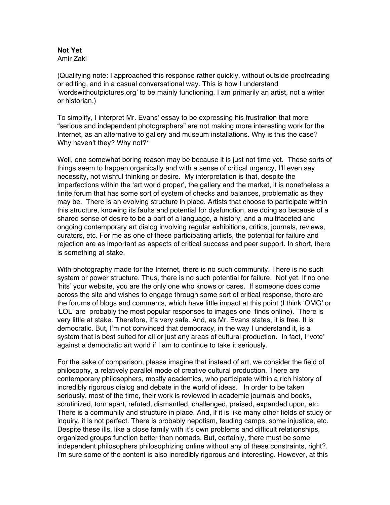## **Not Yet**

Amir Zaki

(Qualifying note: I approached this response rather quickly, without outside proofreading or editing, and in a casual conversational way. This is how I understand 'wordswithoutpictures.org' to be mainly functioning. I am primarily an artist, not a writer or historian.)

To simplify, I interpret Mr. Evans' essay to be expressing his frustration that more "serious and independent photographers" are not making more interesting work for the Internet, as an alternative to gallery and museum installations. Why is this the case? Why haven't they? Why not?\*

Well, one somewhat boring reason may be because it is just not time yet. These sorts of things seem to happen organically and with a sense of critical urgency, I'll even say necessity, not wishful thinking or desire. My interpretation is that, despite the imperfections within the 'art world proper', the gallery and the market, it is nonetheless a finite forum that has some sort of system of checks and balances, problematic as they may be. There is an evolving structure in place. Artists that choose to participate within this structure, knowing its faults and potential for dysfunction, are doing so because of a shared sense of desire to be a part of a language, a history, and a multifaceted and ongoing contemporary art dialog involving regular exhibitions, critics, journals, reviews, curators, etc. For me as one of these participating artists, the potential for failure and rejection are as important as aspects of critical success and peer support. In short, there is something at stake.

With photography made for the Internet, there is no such community. There is no such system or power structure. Thus, there is no such potential for failure. Not yet. If no one 'hits' your website, you are the only one who knows or cares. If someone does come across the site and wishes to engage through some sort of critical response, there are the forums of blogs and comments, which have little impact at this point (I think 'OMG' or 'LOL' are probably the most popular responses to images one finds online). There is very little at stake. Therefore, it's very safe. And, as Mr. Evans states, it is free. It is democratic. But, I'm not convinced that democracy, in the way I understand it, is a system that is best suited for all or just any areas of cultural production. In fact, I 'vote' against a democratic art world if I am to continue to take it seriously.

For the sake of comparison, please imagine that instead of art, we consider the field of philosophy, a relatively parallel mode of creative cultural production. There are contemporary philosophers, mostly academics, who participate within a rich history of incredibly rigorous dialog and debate in the world of ideas. In order to be taken seriously, most of the time, their work is reviewed in academic journals and books, scrutinized, torn apart, refuted, dismantled, challenged, praised, expanded upon, etc. There is a community and structure in place. And, if it is like many other fields of study or inquiry, it is not perfect. There is probably nepotism, feuding camps, some injustice, etc. Despite these ills, like a close family with it's own problems and difficult relationships, organized groups function better than nomads. But, certainly, there must be some independent philosophers philosophizing online without any of these constraints, right?. I'm sure some of the content is also incredibly rigorous and interesting. However, at this